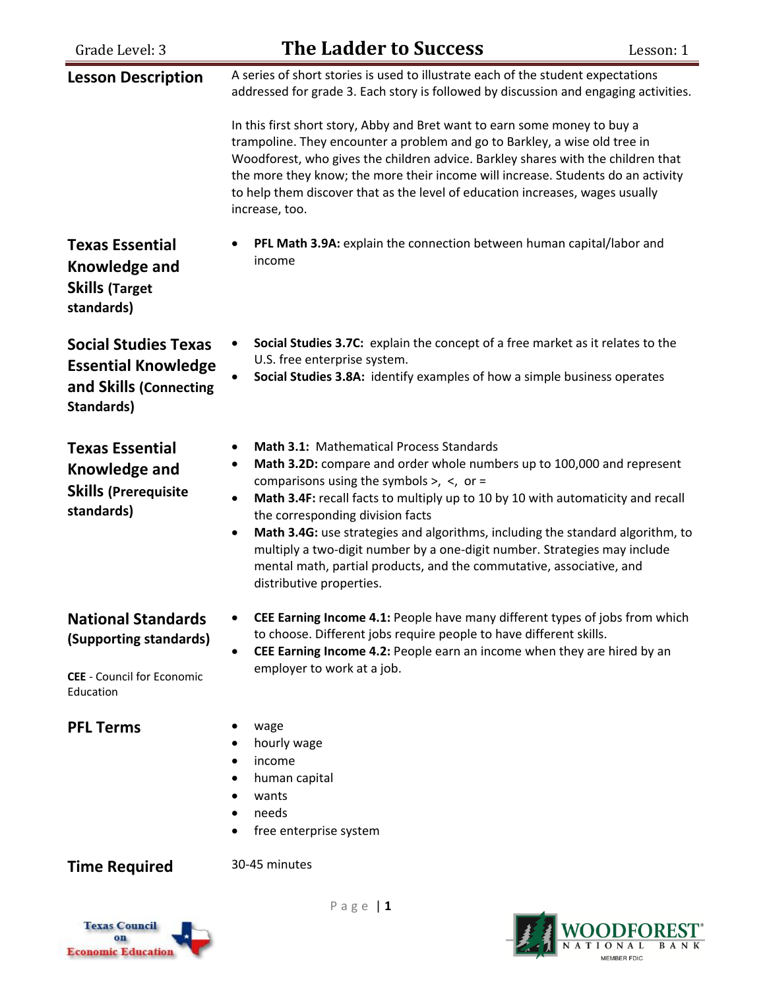| Grade Level: 3                                                                                        | <b>The Ladder to Success</b>                                                                                                                                                                                                                                                                                                                                                                                                                                                                                                                                                       | Lesson: 1 |
|-------------------------------------------------------------------------------------------------------|------------------------------------------------------------------------------------------------------------------------------------------------------------------------------------------------------------------------------------------------------------------------------------------------------------------------------------------------------------------------------------------------------------------------------------------------------------------------------------------------------------------------------------------------------------------------------------|-----------|
| <b>Lesson Description</b>                                                                             | A series of short stories is used to illustrate each of the student expectations<br>addressed for grade 3. Each story is followed by discussion and engaging activities.<br>In this first short story, Abby and Bret want to earn some money to buy a                                                                                                                                                                                                                                                                                                                              |           |
|                                                                                                       | trampoline. They encounter a problem and go to Barkley, a wise old tree in<br>Woodforest, who gives the children advice. Barkley shares with the children that<br>the more they know; the more their income will increase. Students do an activity<br>to help them discover that as the level of education increases, wages usually<br>increase, too.                                                                                                                                                                                                                              |           |
| <b>Texas Essential</b><br><b>Knowledge and</b><br><b>Skills (Target</b><br>standards)                 | PFL Math 3.9A: explain the connection between human capital/labor and<br>income                                                                                                                                                                                                                                                                                                                                                                                                                                                                                                    |           |
| <b>Social Studies Texas</b><br><b>Essential Knowledge</b><br>and Skills (Connecting<br>Standards)     | Social Studies 3.7C: explain the concept of a free market as it relates to the<br>U.S. free enterprise system.<br>Social Studies 3.8A: identify examples of how a simple business operates                                                                                                                                                                                                                                                                                                                                                                                         |           |
| <b>Texas Essential</b><br>Knowledge and<br><b>Skills (Prerequisite</b><br>standards)                  | Math 3.1: Mathematical Process Standards<br>Math 3.2D: compare and order whole numbers up to 100,000 and represent<br>٠<br>comparisons using the symbols $>$ , $\lt$ , or =<br>Math 3.4F: recall facts to multiply up to 10 by 10 with automaticity and recall<br>the corresponding division facts<br>Math 3.4G: use strategies and algorithms, including the standard algorithm, to<br>$\bullet$<br>multiply a two-digit number by a one-digit number. Strategies may include<br>mental math, partial products, and the commutative, associative, and<br>distributive properties. |           |
| <b>National Standards</b><br>(Supporting standards)<br><b>CEE</b> - Council for Economic<br>Education | CEE Earning Income 4.1: People have many different types of jobs from which<br>to choose. Different jobs require people to have different skills.<br>CEE Earning Income 4.2: People earn an income when they are hired by an<br>employer to work at a job.                                                                                                                                                                                                                                                                                                                         |           |
| <b>PFL Terms</b>                                                                                      | wage<br>hourly wage<br>income<br>$\bullet$<br>human capital<br>wants<br>needs<br>free enterprise system                                                                                                                                                                                                                                                                                                                                                                                                                                                                            |           |
| <b>Time Required</b>                                                                                  | 30-45 minutes                                                                                                                                                                                                                                                                                                                                                                                                                                                                                                                                                                      |           |



P a g e | **1**

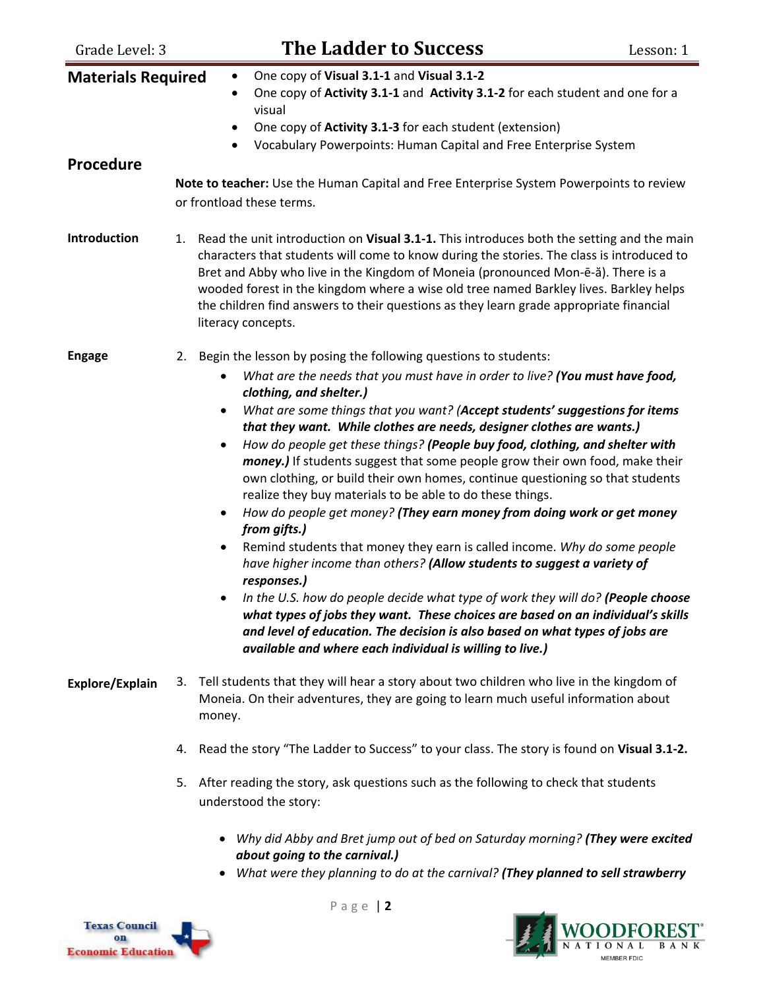| Grade Level: 3                                | <b>The Ladder to Success</b><br>Lesson: 1                                                                                                                                                                                                                                                                                                                                                                                                                                                                                                                                                                                                                                                                                                                                                                                                                                                                                                                                                                                                                                                                                                                                                                         |  |
|-----------------------------------------------|-------------------------------------------------------------------------------------------------------------------------------------------------------------------------------------------------------------------------------------------------------------------------------------------------------------------------------------------------------------------------------------------------------------------------------------------------------------------------------------------------------------------------------------------------------------------------------------------------------------------------------------------------------------------------------------------------------------------------------------------------------------------------------------------------------------------------------------------------------------------------------------------------------------------------------------------------------------------------------------------------------------------------------------------------------------------------------------------------------------------------------------------------------------------------------------------------------------------|--|
| <b>Materials Required</b><br><b>Procedure</b> | One copy of Visual 3.1-1 and Visual 3.1-2<br>$\bullet$<br>One copy of Activity 3.1-1 and Activity 3.1-2 for each student and one for a<br>$\bullet$<br>visual<br>One copy of <b>Activity 3.1-3</b> for each student (extension)<br>$\bullet$<br>Vocabulary Powerpoints: Human Capital and Free Enterprise System<br>$\bullet$<br>Note to teacher: Use the Human Capital and Free Enterprise System Powerpoints to review                                                                                                                                                                                                                                                                                                                                                                                                                                                                                                                                                                                                                                                                                                                                                                                          |  |
|                                               | or frontload these terms.                                                                                                                                                                                                                                                                                                                                                                                                                                                                                                                                                                                                                                                                                                                                                                                                                                                                                                                                                                                                                                                                                                                                                                                         |  |
| Introduction                                  | Read the unit introduction on Visual 3.1-1. This introduces both the setting and the main<br>1.<br>characters that students will come to know during the stories. The class is introduced to<br>Bret and Abby who live in the Kingdom of Moneia (pronounced Mon-ē-ă). There is a<br>wooded forest in the kingdom where a wise old tree named Barkley lives. Barkley helps<br>the children find answers to their questions as they learn grade appropriate financial<br>literacy concepts.                                                                                                                                                                                                                                                                                                                                                                                                                                                                                                                                                                                                                                                                                                                         |  |
| <b>Engage</b>                                 | Begin the lesson by posing the following questions to students:<br>2.                                                                                                                                                                                                                                                                                                                                                                                                                                                                                                                                                                                                                                                                                                                                                                                                                                                                                                                                                                                                                                                                                                                                             |  |
|                                               | What are the needs that you must have in order to live? (You must have food,<br>$\bullet$<br>clothing, and shelter.)<br>What are some things that you want? (Accept students' suggestions for items<br>٠<br>that they want. While clothes are needs, designer clothes are wants.)<br>How do people get these things? (People buy food, clothing, and shelter with<br>٠<br>money.) If students suggest that some people grow their own food, make their<br>own clothing, or build their own homes, continue questioning so that students<br>realize they buy materials to be able to do these things.<br>How do people get money? (They earn money from doing work or get money<br>$\bullet$<br>from gifts.)<br>Remind students that money they earn is called income. Why do some people<br>$\bullet$<br>have higher income than others? (Allow students to suggest a variety of<br>responses.)<br>In the U.S. how do people decide what type of work they will do? (People choose<br>what types of jobs they want. These choices are based on an individual's skills<br>and level of education. The decision is also based on what types of jobs are<br>available and where each individual is willing to live.) |  |
| Explore/Explain                               | Tell students that they will hear a story about two children who live in the kingdom of<br>3.<br>Moneia. On their adventures, they are going to learn much useful information about<br>money.                                                                                                                                                                                                                                                                                                                                                                                                                                                                                                                                                                                                                                                                                                                                                                                                                                                                                                                                                                                                                     |  |
|                                               | 4. Read the story "The Ladder to Success" to your class. The story is found on Visual 3.1-2.                                                                                                                                                                                                                                                                                                                                                                                                                                                                                                                                                                                                                                                                                                                                                                                                                                                                                                                                                                                                                                                                                                                      |  |
|                                               | After reading the story, ask questions such as the following to check that students<br>5.<br>understood the story:                                                                                                                                                                                                                                                                                                                                                                                                                                                                                                                                                                                                                                                                                                                                                                                                                                                                                                                                                                                                                                                                                                |  |
|                                               | • Why did Abby and Bret jump out of bed on Saturday morning? (They were excited<br>about going to the carnival.)<br>• What were they planning to do at the carnival? (They planned to sell strawberry                                                                                                                                                                                                                                                                                                                                                                                                                                                                                                                                                                                                                                                                                                                                                                                                                                                                                                                                                                                                             |  |



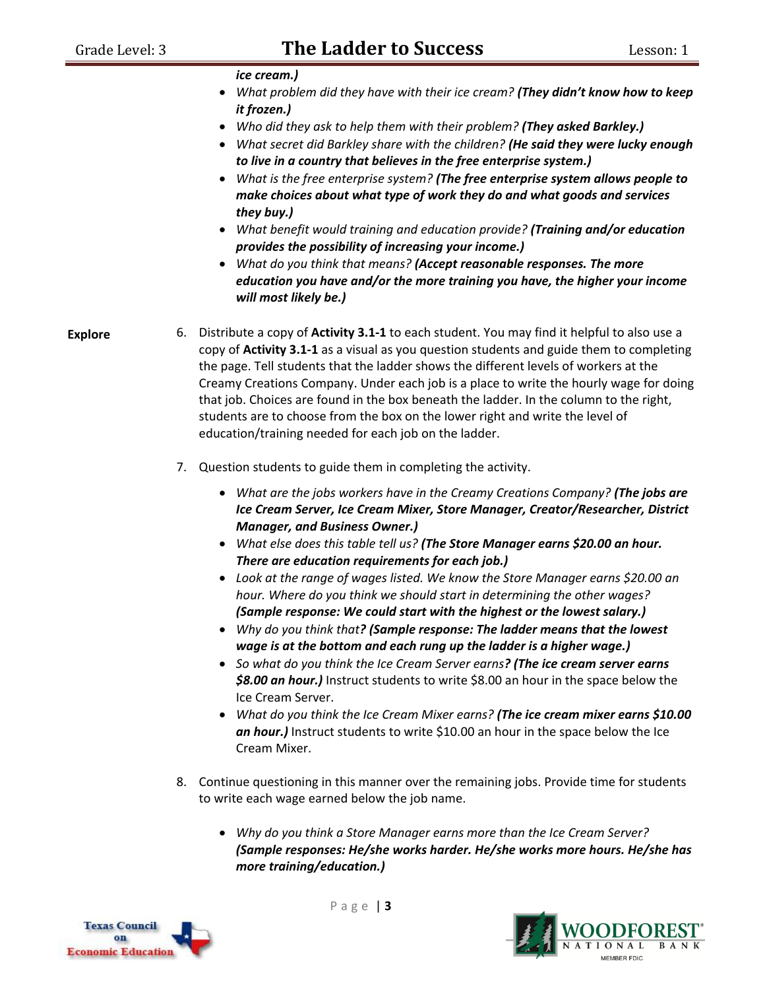*ice cream.)*

- *What problem did they have with their ice cream? (They didn't know how to keep it frozen.)*
- *Who did they ask to help them with their problem? (They asked Barkley.)*
- *What secret did Barkley share with the children? (He said they were lucky enough to live in a country that believes in the free enterprise system.)*
- *What is the free enterprise system? (The free enterprise system allows people to make choices about what type of work they do and what goods and services they buy.)*
- *What benefit would training and education provide? (Training and/or education provides the possibility of increasing your income.)*
- *What do you think that means? (Accept reasonable responses. The more education you have and/or the more training you have, the higher your income will most likely be.)*

**Explore**

- 6. Distribute a copy of **Activity 3.1-1** to each student. You may find it helpful to also use a copy of **Activity 3.1-1** as a visual as you question students and guide them to completing the page. Tell students that the ladder shows the different levels of workers at the Creamy Creations Company. Under each job is a place to write the hourly wage for doing that job. Choices are found in the box beneath the ladder. In the column to the right, students are to choose from the box on the lower right and write the level of education/training needed for each job on the ladder.
	- 7. Question students to guide them in completing the activity.
		- *What are the jobs workers have in the Creamy Creations Company? (The jobs are Ice Cream Server, Ice Cream Mixer, Store Manager, Creator/Researcher, District Manager, and Business Owner.)*
		- *What else does this table tell us? (The Store Manager earns \$20.00 an hour. There are education requirements for each job.)*
		- *Look at the range of wages listed. We know the Store Manager earns \$20.00 an hour. Where do you think we should start in determining the other wages? (Sample response: We could start with the highest or the lowest salary.)*
		- *Why do you think that? (Sample response: The ladder means that the lowest wage is at the bottom and each rung up the ladder is a higher wage.)*
		- *So what do you think the Ice Cream Server earns? (The ice cream server earns \$8.00 an hour.)* Instruct students to write \$8.00 an hour in the space below the Ice Cream Server.
		- *What do you think the Ice Cream Mixer earns? (The ice cream mixer earns \$10.00 an hour.)* Instruct students to write \$10.00 an hour in the space below the Ice Cream Mixer.
- 8. Continue questioning in this manner over the remaining jobs. Provide time for students to write each wage earned below the job name.
	- *Why do you think a Store Manager earns more than the Ice Cream Server? (Sample responses: He/she works harder. He/she works more hours. He/she has more training/education.)*



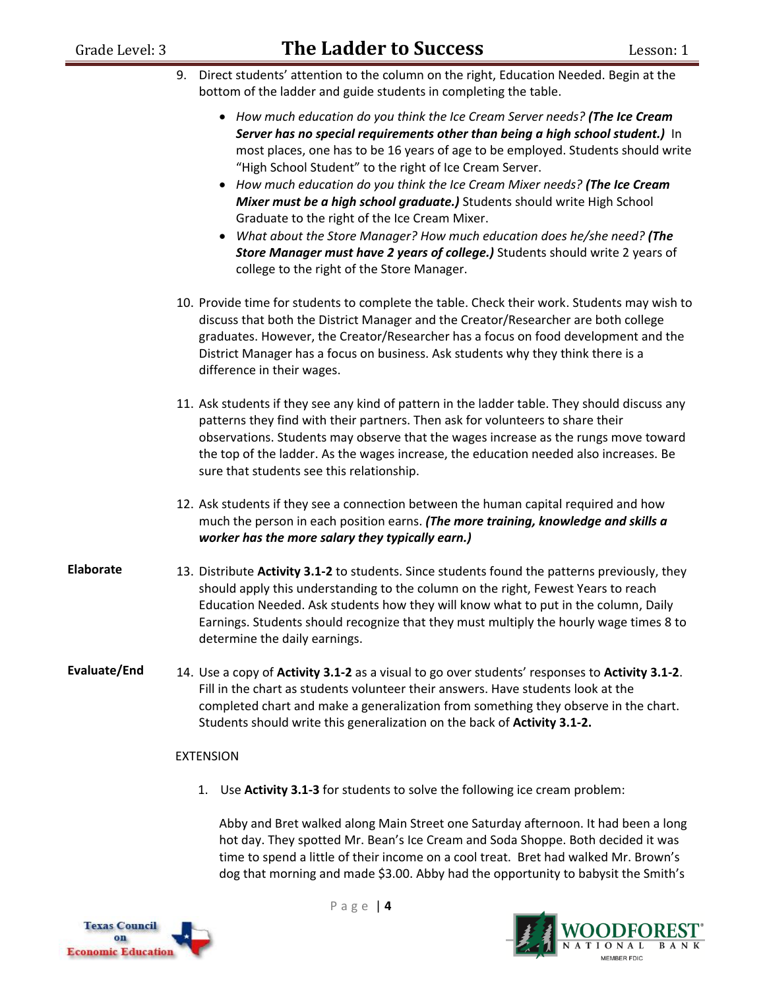- 9. Direct students' attention to the column on the right, Education Needed. Begin at the bottom of the ladder and guide students in completing the table.
	- *How much education do you think the Ice Cream Server needs? (The Ice Cream Server has no special requirements other than being a high school student.)* In most places, one has to be 16 years of age to be employed. Students should write "High School Student" to the right of Ice Cream Server.
	- *How much education do you think the Ice Cream Mixer needs? (The Ice Cream Mixer must be a high school graduate.)* Students should write High School Graduate to the right of the Ice Cream Mixer.
	- *What about the Store Manager? How much education does he/she need? (The Store Manager must have 2 years of college.)* Students should write 2 years of college to the right of the Store Manager.
- 10. Provide time for students to complete the table. Check their work. Students may wish to discuss that both the District Manager and the Creator/Researcher are both college graduates. However, the Creator/Researcher has a focus on food development and the District Manager has a focus on business. Ask students why they think there is a difference in their wages.
- 11. Ask students if they see any kind of pattern in the ladder table. They should discuss any patterns they find with their partners. Then ask for volunteers to share their observations. Students may observe that the wages increase as the rungs move toward the top of the ladder. As the wages increase, the education needed also increases. Be sure that students see this relationship.
- 12. Ask students if they see a connection between the human capital required and how much the person in each position earns. *(The more training, knowledge and skills a worker has the more salary they typically earn.)*
- **Elaborate** 13. Distribute **Activity 3.1-2** to students. Since students found the patterns previously, they should apply this understanding to the column on the right, Fewest Years to reach Education Needed. Ask students how they will know what to put in the column, Daily Earnings. Students should recognize that they must multiply the hourly wage times 8 to determine the daily earnings.
- **Evaluate/End** 14. Use a copy of **Activity 3.1-2** as a visual to go over students' responses to **Activity 3.1-2**. Fill in the chart as students volunteer their answers. Have students look at the completed chart and make a generalization from something they observe in the chart. Students should write this generalization on the back of **Activity 3.1-2.**

#### EXTENSION

1. Use **Activity 3.1-3** for students to solve the following ice cream problem:

Abby and Bret walked along Main Street one Saturday afternoon. It had been a long hot day. They spotted Mr. Bean's Ice Cream and Soda Shoppe. Both decided it was time to spend a little of their income on a cool treat. Bret had walked Mr. Brown's dog that morning and made \$3.00. Abby had the opportunity to babysit the Smith's



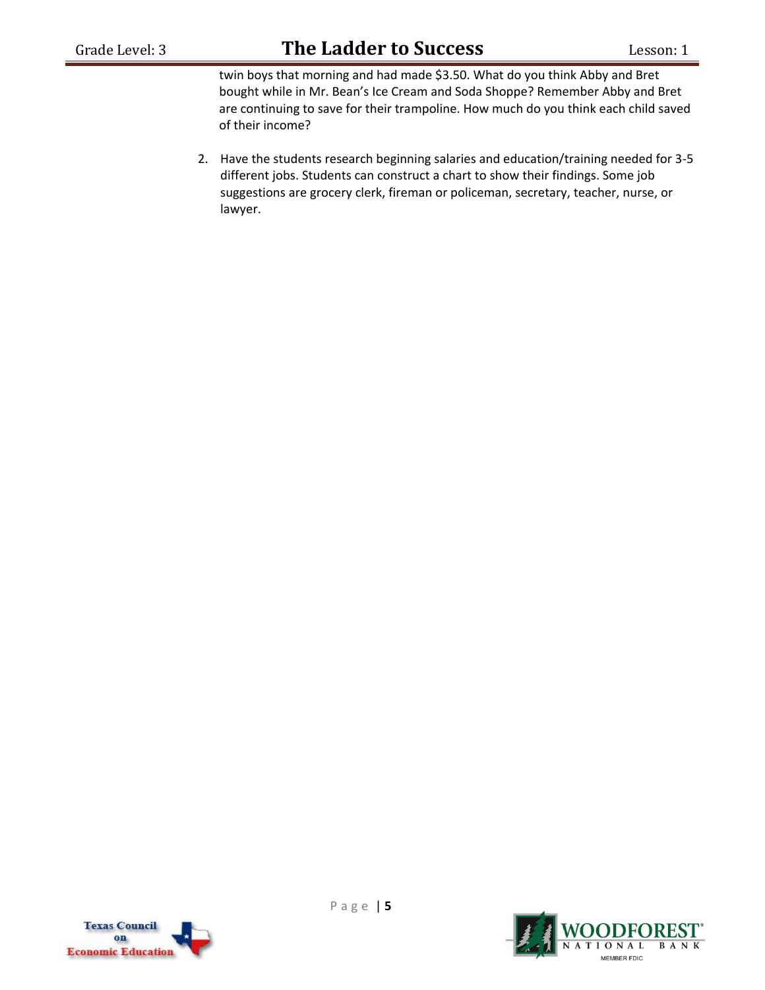twin boys that morning and had made \$3.50. What do you think Abby and Bret bought while in Mr. Bean's Ice Cream and Soda Shoppe? Remember Abby and Bret are continuing to save for their trampoline. How much do you think each child saved of their income?

2. Have the students research beginning salaries and education/training needed for 3-5 different jobs. Students can construct a chart to show their findings. Some job suggestions are grocery clerk, fireman or policeman, secretary, teacher, nurse, or lawyer.



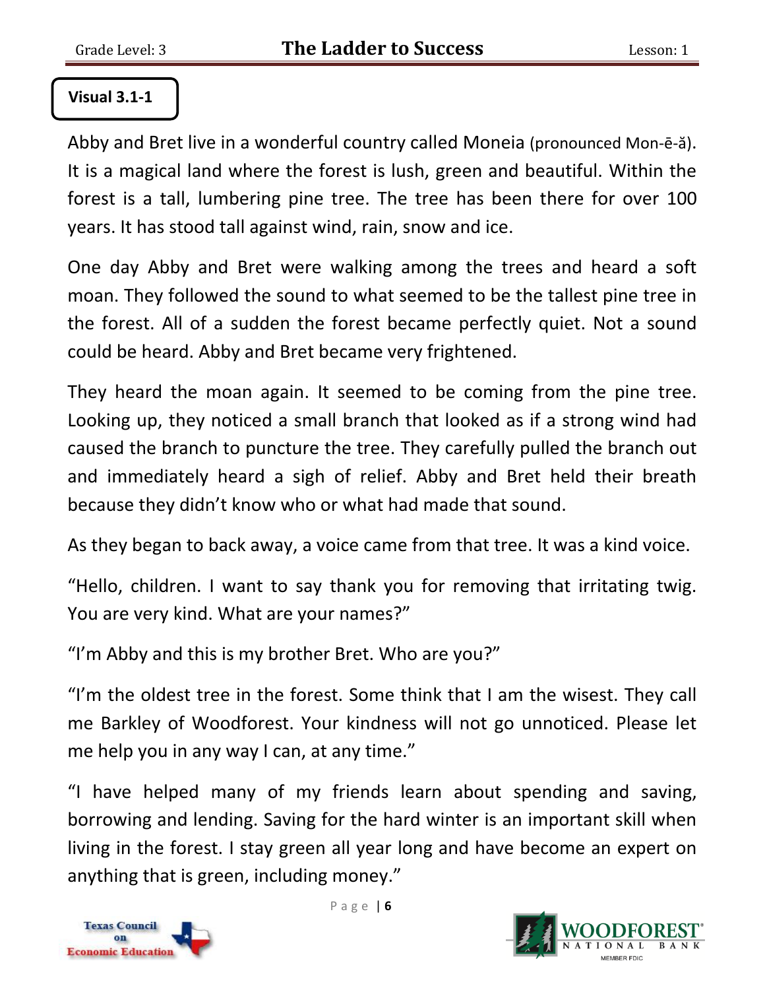#### **Visual 3.1-1**

Abby and Bret live in a wonderful country called Moneia (pronounced Mon-ē-ă). It is a magical land where the forest is lush, green and beautiful. Within the forest is a tall, lumbering pine tree. The tree has been there for over 100 years. It has stood tall against wind, rain, snow and ice.

One day Abby and Bret were walking among the trees and heard a soft moan. They followed the sound to what seemed to be the tallest pine tree in the forest. All of a sudden the forest became perfectly quiet. Not a sound could be heard. Abby and Bret became very frightened.

They heard the moan again. It seemed to be coming from the pine tree. Looking up, they noticed a small branch that looked as if a strong wind had caused the branch to puncture the tree. They carefully pulled the branch out and immediately heard a sigh of relief. Abby and Bret held their breath because they didn't know who or what had made that sound.

As they began to back away, a voice came from that tree. It was a kind voice.

"Hello, children. I want to say thank you for removing that irritating twig. You are very kind. What are your names?"

"I'm Abby and this is my brother Bret. Who are you?"

"I'm the oldest tree in the forest. Some think that I am the wisest. They call me Barkley of Woodforest. Your kindness will not go unnoticed. Please let me help you in any way I can, at any time."

"I have helped many of my friends learn about spending and saving, borrowing and lending. Saving for the hard winter is an important skill when living in the forest. I stay green all year long and have become an expert on anything that is green, including money."



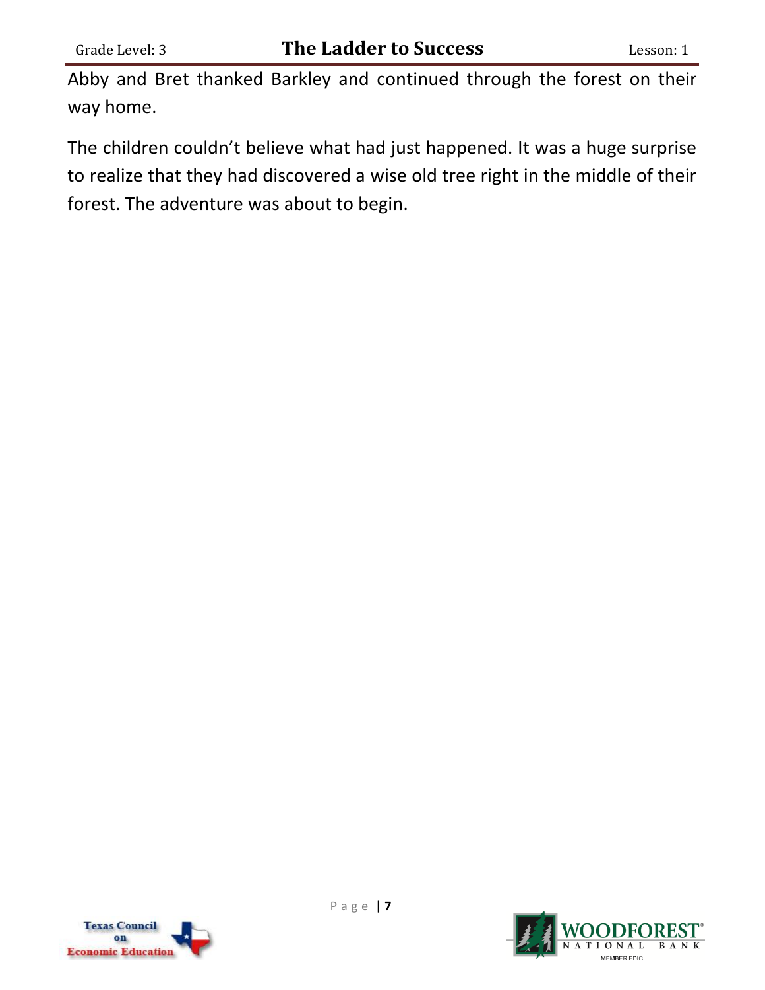Abby and Bret thanked Barkley and continued through the forest on their way home.

The children couldn't believe what had just happened. It was a huge surprise to realize that they had discovered a wise old tree right in the middle of their forest. The adventure was about to begin.



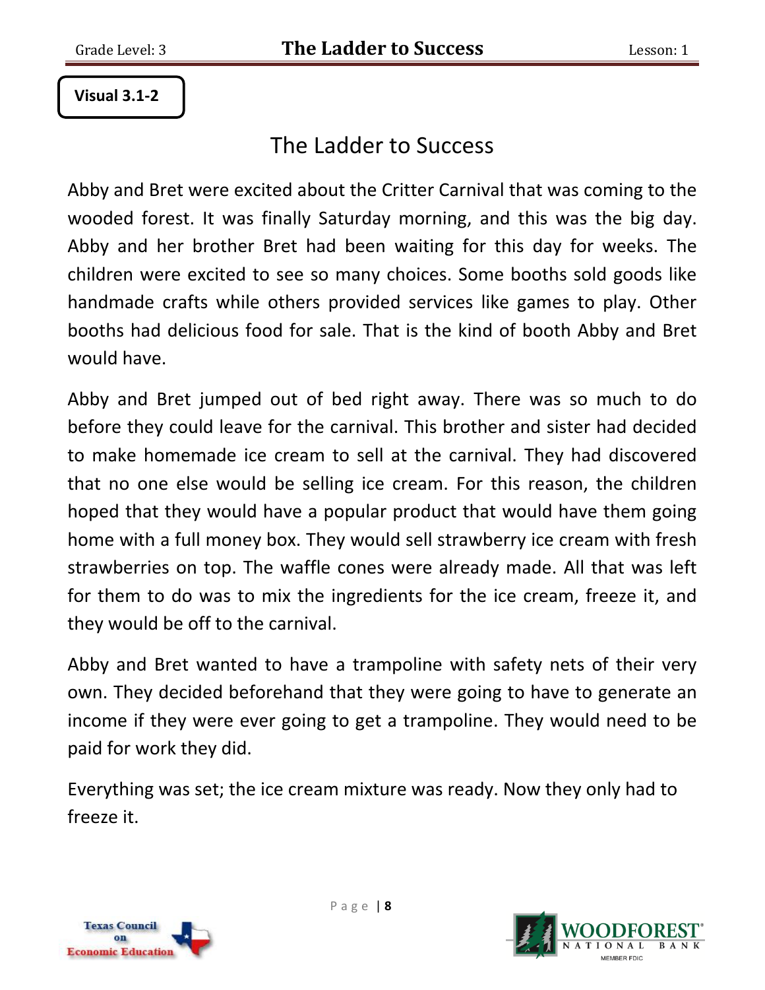**Visual 3.1-2**

# The Ladder to Success

Abby and Bret were excited about the Critter Carnival that was coming to the wooded forest. It was finally Saturday morning, and this was the big day. Abby and her brother Bret had been waiting for this day for weeks. The children were excited to see so many choices. Some booths sold goods like handmade crafts while others provided services like games to play. Other booths had delicious food for sale. That is the kind of booth Abby and Bret would have.

Abby and Bret jumped out of bed right away. There was so much to do before they could leave for the carnival. This brother and sister had decided to make homemade ice cream to sell at the carnival. They had discovered that no one else would be selling ice cream. For this reason, the children hoped that they would have a popular product that would have them going home with a full money box. They would sell strawberry ice cream with fresh strawberries on top. The waffle cones were already made. All that was left for them to do was to mix the ingredients for the ice cream, freeze it, and they would be off to the carnival.

Abby and Bret wanted to have a trampoline with safety nets of their very own. They decided beforehand that they were going to have to generate an income if they were ever going to get a trampoline. They would need to be paid for work they did.

Everything was set; the ice cream mixture was ready. Now they only had to freeze it.



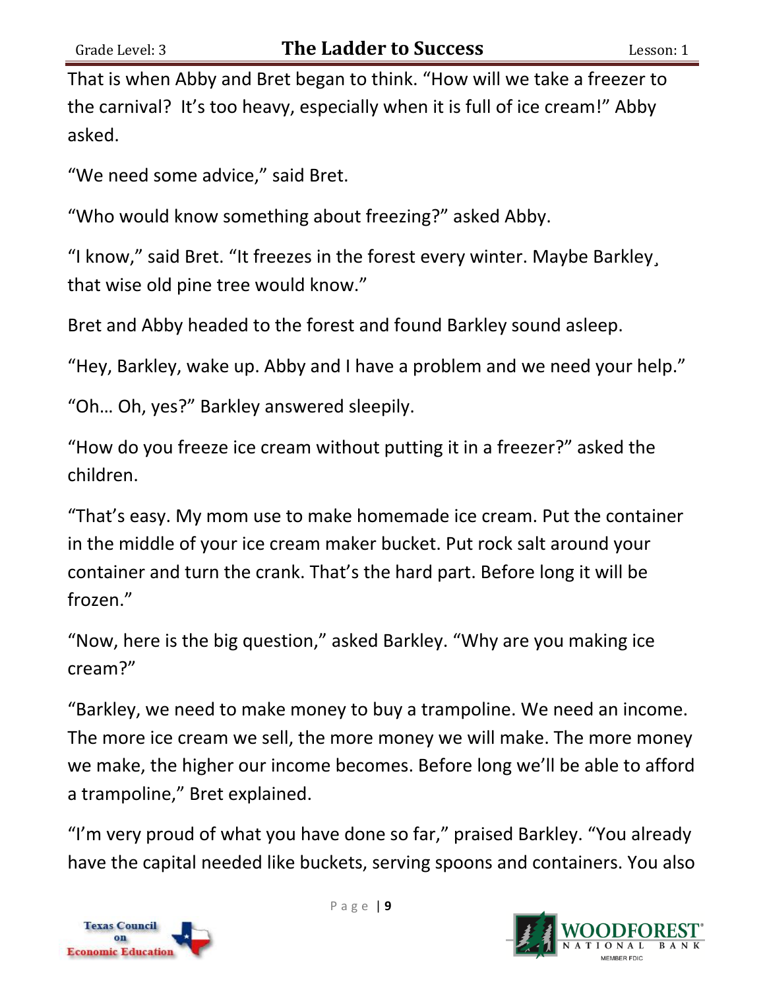That is when Abby and Bret began to think. "How will we take a freezer to the carnival? It's too heavy, especially when it is full of ice cream!" Abby asked.

"We need some advice," said Bret.

"Who would know something about freezing?" asked Abby.

"I know," said Bret. "It freezes in the forest every winter. Maybe Barkley¸ that wise old pine tree would know."

Bret and Abby headed to the forest and found Barkley sound asleep.

"Hey, Barkley, wake up. Abby and I have a problem and we need your help."

"Oh… Oh, yes?" Barkley answered sleepily.

"How do you freeze ice cream without putting it in a freezer?" asked the children.

"That's easy. My mom use to make homemade ice cream. Put the container in the middle of your ice cream maker bucket. Put rock salt around your container and turn the crank. That's the hard part. Before long it will be frozen."

"Now, here is the big question," asked Barkley. "Why are you making ice cream?"

"Barkley, we need to make money to buy a trampoline. We need an income. The more ice cream we sell, the more money we will make. The more money we make, the higher our income becomes. Before long we'll be able to afford a trampoline," Bret explained.

"I'm very proud of what you have done so far," praised Barkley. "You already have the capital needed like buckets, serving spoons and containers. You also



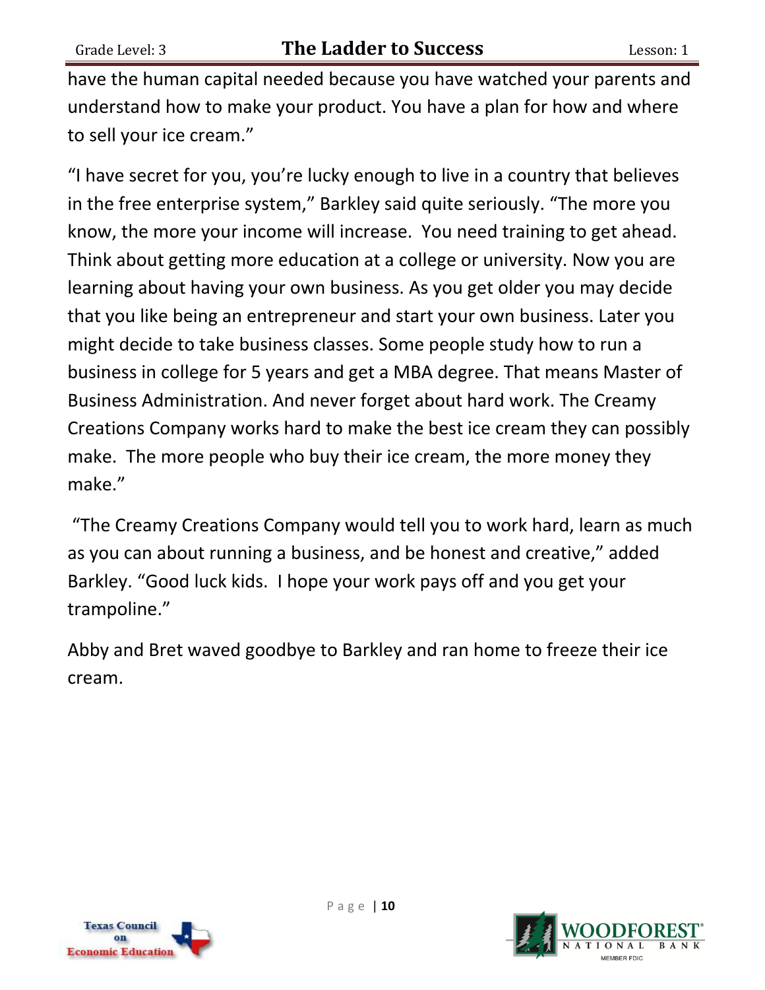have the human capital needed because you have watched your parents and understand how to make your product. You have a plan for how and where to sell your ice cream."

"I have secret for you, you're lucky enough to live in a country that believes in the free enterprise system," Barkley said quite seriously. "The more you know, the more your income will increase. You need training to get ahead. Think about getting more education at a college or university. Now you are learning about having your own business. As you get older you may decide that you like being an entrepreneur and start your own business. Later you might decide to take business classes. Some people study how to run a business in college for 5 years and get a MBA degree. That means Master of Business Administration. And never forget about hard work. The Creamy Creations Company works hard to make the best ice cream they can possibly make. The more people who buy their ice cream, the more money they make."

"The Creamy Creations Company would tell you to work hard, learn as much as you can about running a business, and be honest and creative," added Barkley. "Good luck kids. I hope your work pays off and you get your trampoline."

Abby and Bret waved goodbye to Barkley and ran home to freeze their ice cream.

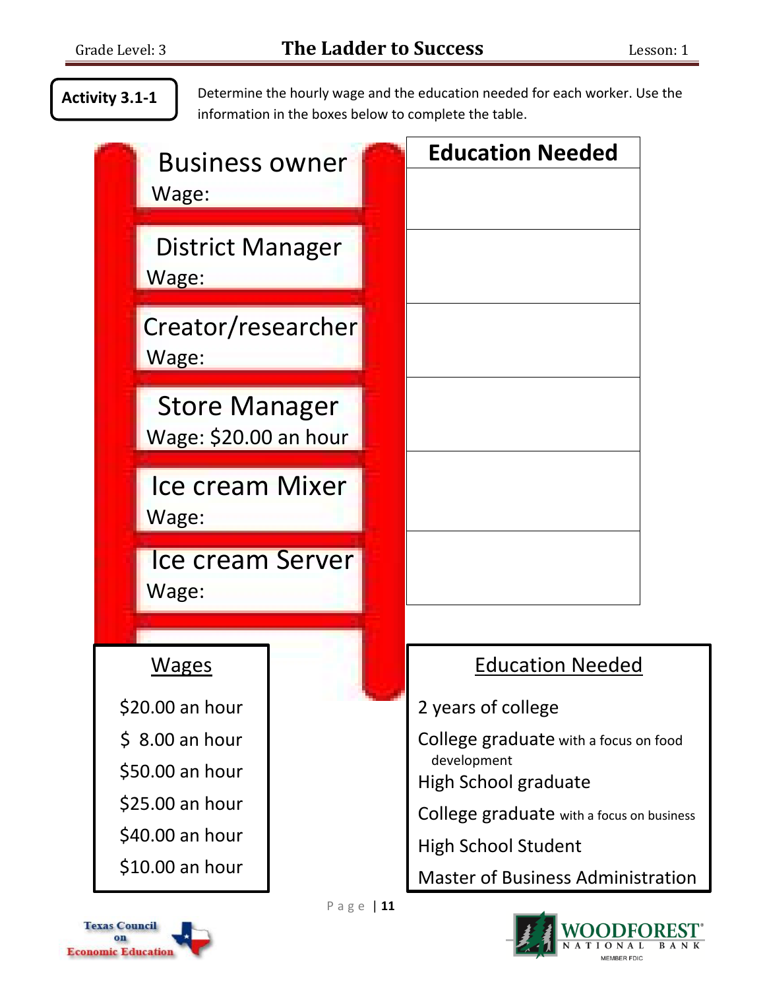### **Activity 3.1-1**

Determine the hourly wage and the education needed for each worker. Use the information in the boxes below to complete the table.

| <b>Business owner</b><br>Wage:                | <b>Education Needed</b>                   |
|-----------------------------------------------|-------------------------------------------|
| <b>District Manager</b><br>Wage:              |                                           |
| Creator/researcher<br>Wage:                   |                                           |
| <b>Store Manager</b><br>Wage: \$20.00 an hour |                                           |
| <b>Ice cream Mixer</b><br>Wage:               |                                           |
| Ice cream Server<br>Wage:                     |                                           |
|                                               |                                           |
| Wages                                         | <b>Education Needed</b>                   |
| \$20.00 an hour                               | 2 years of college                        |
| $$8.00$ an hour                               | College graduate with a focus on food     |
| \$50.00 an hour                               | development<br>High School graduate       |
| \$25.00 an hour                               | College graduate with a focus on business |
| \$40.00 an hour                               | <b>High School Student</b>                |
| \$10.00 an hour                               | <b>Master of Business Administration</b>  |
| Page   11                                     |                                           |



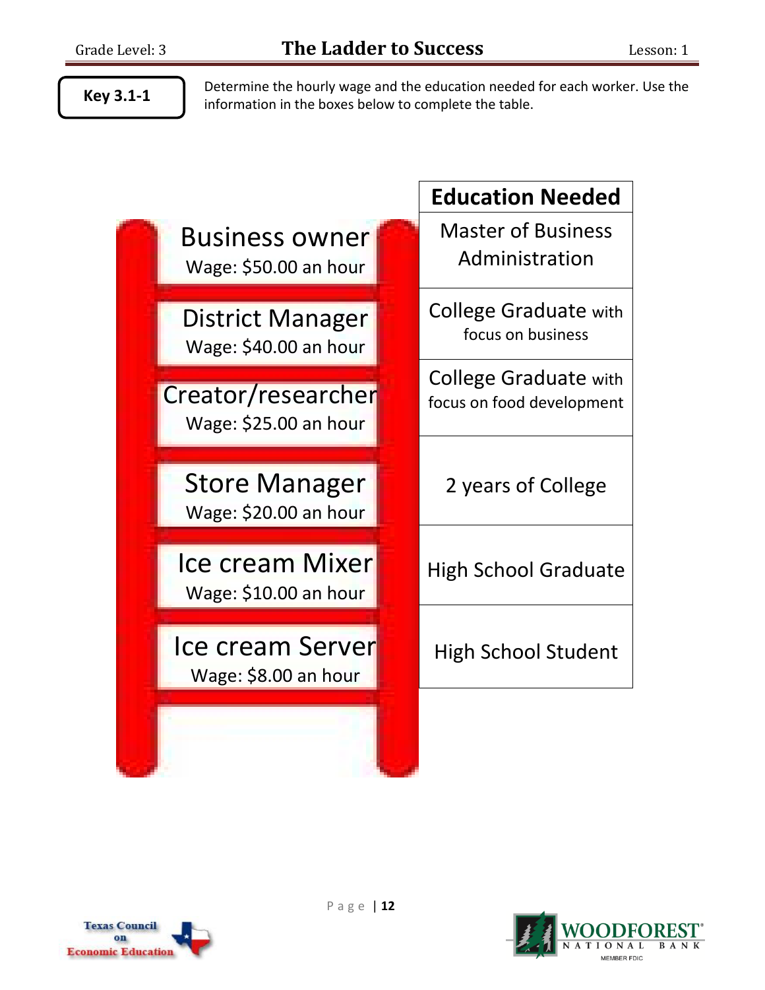**Key 3.1-1**

Determine the hourly wage and the education needed for each worker. Use the information in the boxes below to complete the table.

Business owner Wage: \$50.00 an hour **Education Needed** Master of Business Administration District Manager Wage: \$40.00 an hour College Graduate with focus on business Creator/researcher Wage: \$25.00 an hour College Graduate with focus on food development Store Manager Wage: \$20.00 an hour 2 years of College Ice cream Mixer Wage: \$10.00 an hour High School Graduate Ice cream Server Wage: \$8.00 an hour High School Student



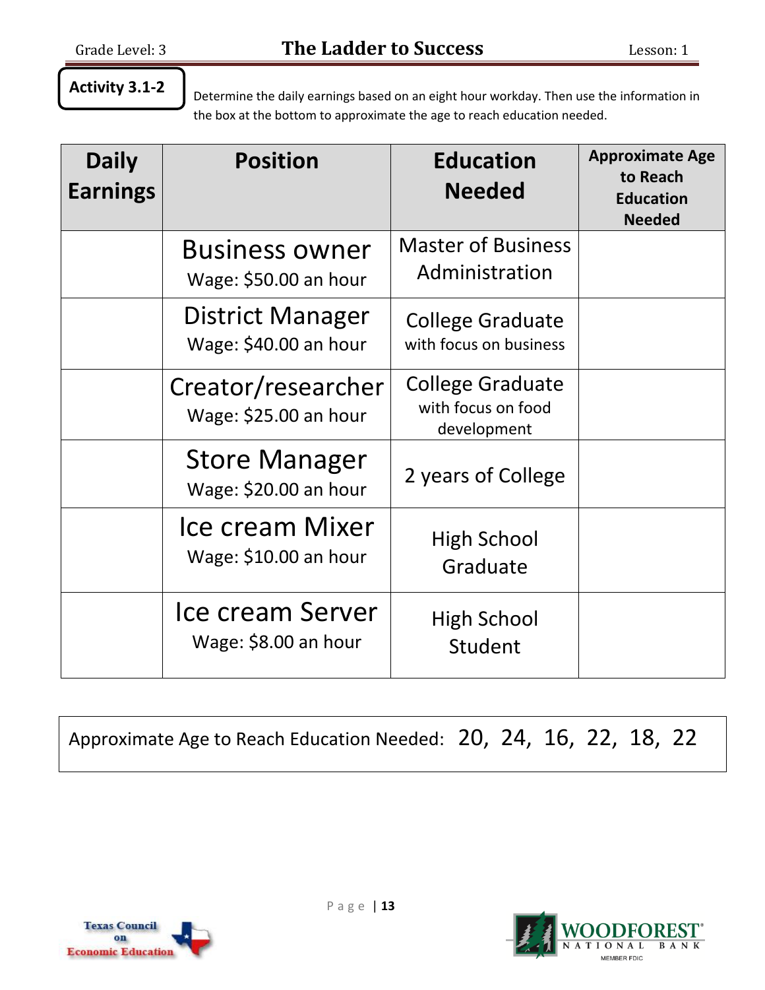### **Activity 3.1-2**

Determine the daily earnings based on an eight hour workday. Then use the information in the box at the bottom to approximate the age to reach education needed.

| <b>Daily</b><br><b>Earnings</b> | <b>Position</b>                                  | <b>Education</b><br><b>Needed</b>                            | <b>Approximate Age</b><br>to Reach<br><b>Education</b><br><b>Needed</b> |
|---------------------------------|--------------------------------------------------|--------------------------------------------------------------|-------------------------------------------------------------------------|
|                                 | <b>Business owner</b><br>Wage: \$50.00 an hour   | <b>Master of Business</b><br>Administration                  |                                                                         |
|                                 | <b>District Manager</b><br>Wage: \$40.00 an hour | <b>College Graduate</b><br>with focus on business            |                                                                         |
|                                 | Creator/researcher<br>Wage: \$25.00 an hour      | <b>College Graduate</b><br>with focus on food<br>development |                                                                         |
|                                 | <b>Store Manager</b><br>Wage: \$20.00 an hour    | 2 years of College                                           |                                                                         |
|                                 | <b>Ice cream Mixer</b><br>Wage: \$10.00 an hour  | <b>High School</b><br>Graduate                               |                                                                         |
|                                 | Ice cream Server<br>Wage: \$8.00 an hour         | High School<br>Student                                       |                                                                         |

Approximate Age to Reach Education Needed: 20, 24, 16, 22, 18, 22



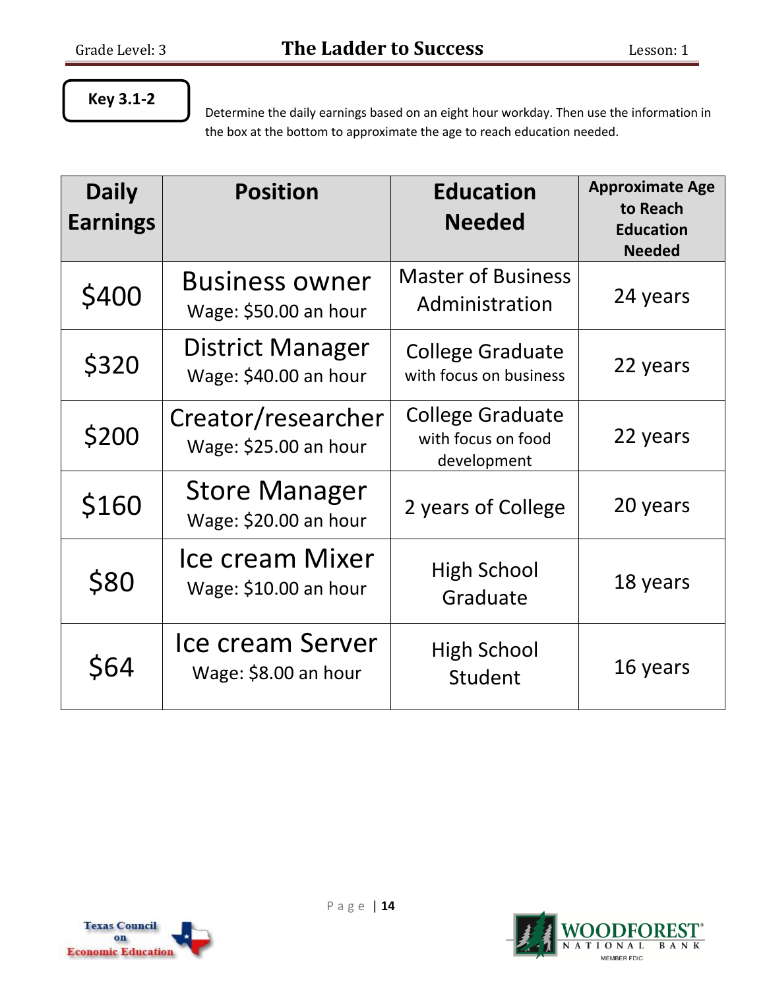## **Key 3.1-2**

Determine the daily earnings based on an eight hour workday. Then use the information in the box at the bottom to approximate the age to reach education needed.

| <b>Daily</b><br><b>Earnings</b> | <b>Position</b>                                  | <b>Education</b><br><b>Needed</b>                            | <b>Approximate Age</b><br>to Reach<br><b>Education</b><br><b>Needed</b> |
|---------------------------------|--------------------------------------------------|--------------------------------------------------------------|-------------------------------------------------------------------------|
| \$400                           | <b>Business owner</b><br>Wage: \$50.00 an hour   | <b>Master of Business</b><br>Administration                  | 24 years                                                                |
| \$320                           | <b>District Manager</b><br>Wage: \$40.00 an hour | <b>College Graduate</b><br>with focus on business            | 22 years                                                                |
| \$200                           | Creator/researcher<br>Wage: \$25.00 an hour      | <b>College Graduate</b><br>with focus on food<br>development | 22 years                                                                |
| \$160                           | <b>Store Manager</b><br>Wage: \$20.00 an hour    | 2 years of College                                           | 20 years                                                                |
| \$80                            | <b>Ice cream Mixer</b><br>Wage: \$10.00 an hour  | <b>High School</b><br>Graduate                               | 18 years                                                                |
| \$64                            | Ice cream Server<br>Wage: \$8.00 an hour         | <b>High School</b><br>Student                                | 16 years                                                                |